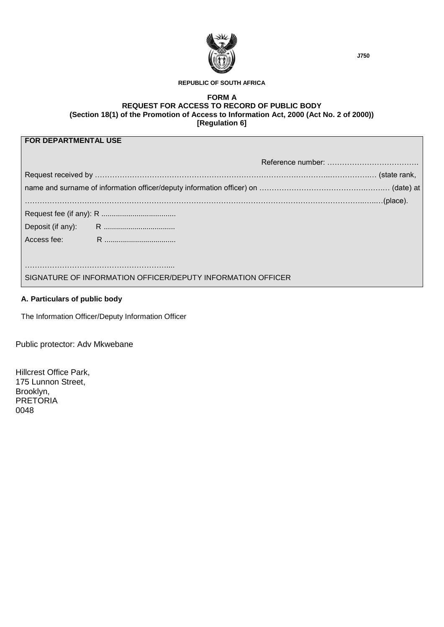

#### **REPUBLIC OF SOUTH AFRICA**

### **FORM A REQUEST FOR ACCESS TO RECORD OF PUBLIC BODY (Section 18(1) of the Promotion of Access to Information Act, 2000 (Act No. 2 of 2000)) [Regulation 6]**

# **FOR DEPARTMENTAL USE**

| SIGNATURE OF INFORMATION OFFICER/DEPUTY INFORMATION OFFICER |  |  |  |  |  |  |  |  |
|-------------------------------------------------------------|--|--|--|--|--|--|--|--|

## **A. Particulars of public body**

The Information Officer/Deputy Information Officer

Public protector: Adv Mkwebane

Hillcrest Office Park, 175 Lunnon Street, Brooklyn, PRETORIA 0048

**J750**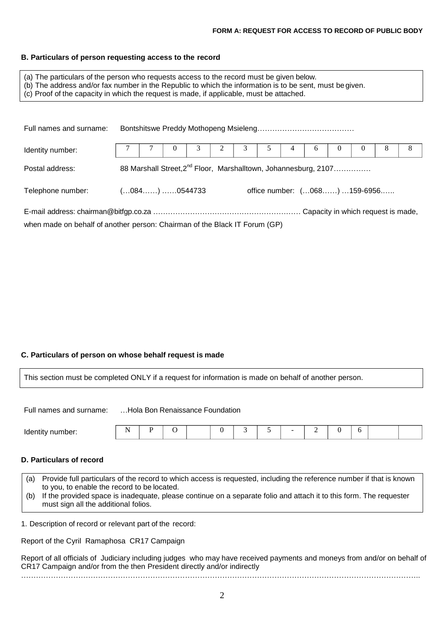#### **B. Particulars of person requesting access to the record**

- (a) The particulars of the person who requests access to the record must be given below.
- (b) The address and/or fax number in the Republic to which the information is to be sent, must be given.
- (c) Proof of the capacity in which the request is made, if applicable, must be attached.

| Full names and surname:                                                    |                                                                             |  |          |  |   |   |  |   |   |          |   |   |   |
|----------------------------------------------------------------------------|-----------------------------------------------------------------------------|--|----------|--|---|---|--|---|---|----------|---|---|---|
| Identity number:                                                           |                                                                             |  | $\theta$ |  | 2 | 3 |  | 4 | 6 | $\theta$ | U | 8 | 8 |
| Postal address:                                                            | 88 Marshall Street, 2 <sup>nd</sup> Floor, Marshalltown, Johannesburg, 2107 |  |          |  |   |   |  |   |   |          |   |   |   |
| office number: (068) 159-6956<br>$(084)$ 0544733<br>Telephone number:      |                                                                             |  |          |  |   |   |  |   |   |          |   |   |   |
|                                                                            |                                                                             |  |          |  |   |   |  |   |   |          |   |   |   |
| when made on behalf of another person: Chairman of the Black IT Forum (GP) |                                                                             |  |          |  |   |   |  |   |   |          |   |   |   |

## **C. Particulars of person on whose behalf request is made**

This section must be completed ONLY if a request for information is made on behalf of another person.

Full names and surname: …Hola Bon Renaissance Foundation

| Identi<br>יי<br>.<br>,,,,,<br>™uer. |  |  |  |
|-------------------------------------|--|--|--|
|-------------------------------------|--|--|--|

# **D. Particulars of record**

| (a) Provide full particulars of the record to which access is requested, including the reference number if that is known |
|--------------------------------------------------------------------------------------------------------------------------|
| to you, to enable the record to be located.                                                                              |
| (b) If the provided space is inadequate, please continue on a separate folio and attach it to this form. The requester   |

must sign all the additional folios.

1. Description of record or relevant part of the record:

Report of the Cyril Ramaphosa CR17 Campaign

Report of all officials of Judiciary including judges who may have received payments and moneys from and/or on behalf of CR17 Campaign and/or from the then President directly and/or indirectly ……………………………………………………………………………………………………………………………………………..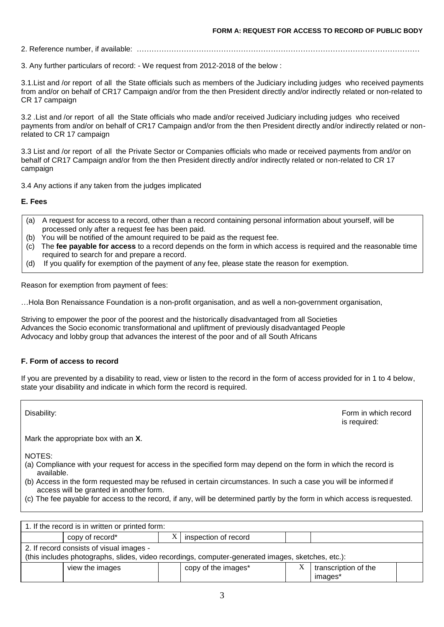2. Reference number, if available: ……………………………………………………………………………………………………

3. Any further particulars of record: - We request from 2012-2018 of the below :

3.1.List and /or report of all the State officials such as members of the Judiciary including judges who received payments from and/or on behalf of CR17 Campaign and/or from the then President directly and/or indirectly related or non-related to CR 17 campaign

3.2 .List and /or report of all the State officials who made and/or received Judiciary including judges who received payments from and/or on behalf of CR17 Campaign and/or from the then President directly and/or indirectly related or nonrelated to CR 17 campaign

3.3 List and /or report of all the Private Sector or Companies officials who made or received payments from and/or on behalf of CR17 Campaign and/or from the then President directly and/or indirectly related or non-related to CR 17 campaign

3.4 Any actions if any taken from the judges implicated

**E. Fees**

- (a) A request for access to a record, other than a record containing personal information about yourself, will be processed only after a request fee has been paid.
- (b) You will be notified of the amount required to be paid as the request fee.
- (c) The **fee payable for access** to a record depends on the form in which access is required and the reasonable time required to search for and prepare a record.
- (d) If you qualify for exemption of the payment of any fee, please state the reason for exemption.

Reason for exemption from payment of fees:

…Hola Bon Renaissance Foundation is a non-profit organisation, and as well a non-government organisation,

Striving to empower the poor of the poorest and the historically disadvantaged from all Societies Advances the Socio economic transformational and upliftment of previously disadvantaged People Advocacy and lobby group that advances the interest of the poor and of all South Africans

### **F. Form of access to record**

If you are prevented by a disability to read, view or listen to the record in the form of access provided for in 1 to 4 below, state your disability and indicate in which form the record is required.

Disability: Form in which record is required:

Mark the appropriate box with an **X**.

NOTES:

- (a) Compliance with your request for access in the specified form may depend on the form in which the record is available.
- (b) Access in the form requested may be refused in certain circumstances. In such a case you will be informed if access will be granted in another form.
- (c) The fee payable for access to the record, if any, will be determined partly by the form in which access is requested.

| 1. If the record is in written or printed form:                                                                                               |                 |   |                      |   |                                 |  |  |  |
|-----------------------------------------------------------------------------------------------------------------------------------------------|-----------------|---|----------------------|---|---------------------------------|--|--|--|
|                                                                                                                                               | copy of record* | Λ | inspection of record |   |                                 |  |  |  |
| 2. If record consists of visual images -<br>(this includes photographs, slides, video recordings, computer-generated images, sketches, etc.): |                 |   |                      |   |                                 |  |  |  |
|                                                                                                                                               | view the images |   | copy of the images*  | X | transcription of the<br>images* |  |  |  |